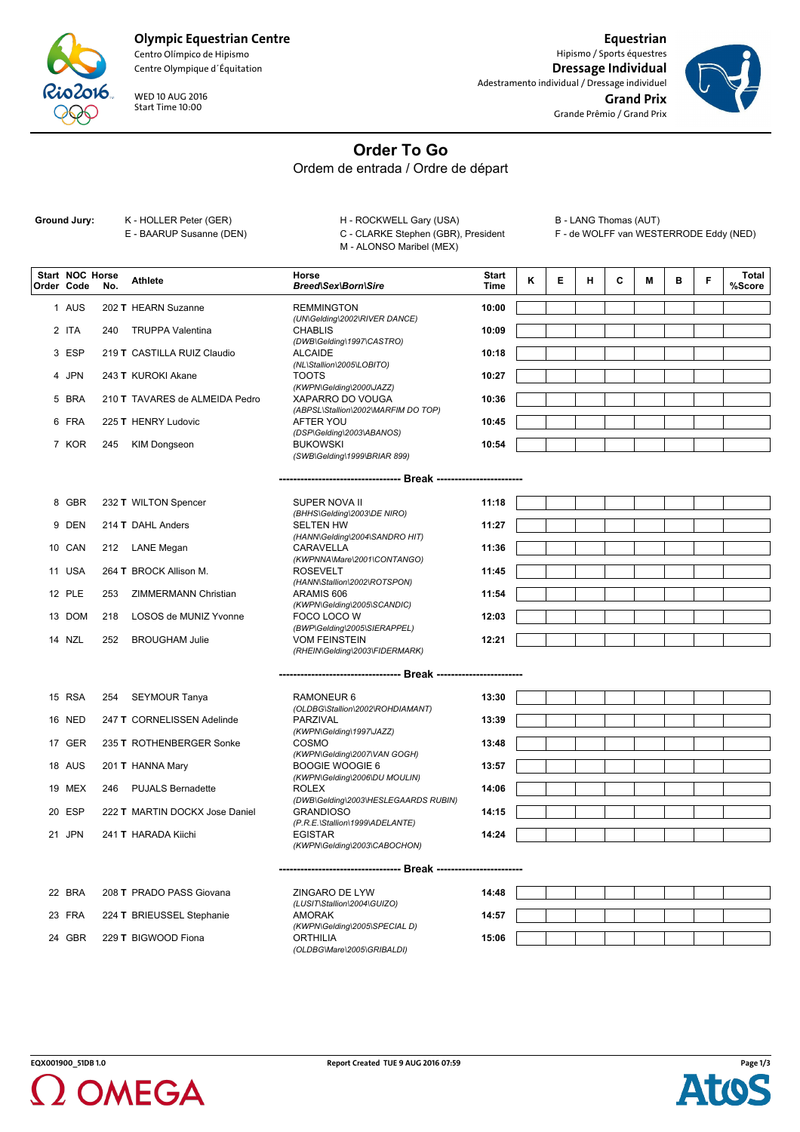

## **Olympic Equestrian Centre**

Centro Olímpico de Hipismo Centre Olympique d´Équitation

WED 10 AUG 2016 Start Time 10:00

**Equestrian** Hipismo / Sports équestres **Dressage Individual** Adestramento individual / Dressage individuel **Grand Prix** Grande Prêmio / Grand Prix



## **Order To Go**

Ordem de entrada / Ordre de départ

Ground Jury: K - HOLLER Peter (GER)

E - BAARUP Susanne (DEN)

H - ROCKWELL Gary (USA) C - CLARKE Stephen (GBR), President M - ALONSO Maribel (MEX)

B - LANG Thomas (AUT)

F - de WOLFF van WESTERRODE Eddy (NED)

| <b>Start NOC Horse</b><br>Order Code | No. | <b>Athlete</b>                                                                                                                                                                                                                                                                                                                                                                 | Horse<br>Breed\Sex\Born\Sire                            | <b>Start</b><br><b>Time</b> | κ | Е | н | C | M | в | F | Total<br>%Score |
|--------------------------------------|-----|--------------------------------------------------------------------------------------------------------------------------------------------------------------------------------------------------------------------------------------------------------------------------------------------------------------------------------------------------------------------------------|---------------------------------------------------------|-----------------------------|---|---|---|---|---|---|---|-----------------|
|                                      |     |                                                                                                                                                                                                                                                                                                                                                                                |                                                         |                             |   |   |   |   |   |   |   |                 |
| 1 AUS                                |     | 202 T HEARN Suzanne                                                                                                                                                                                                                                                                                                                                                            | <b>REMMINGTON</b>                                       | 10:00                       |   |   |   |   |   |   |   |                 |
| 2 ITA                                | 240 | <b>TRUPPA Valentina</b>                                                                                                                                                                                                                                                                                                                                                        | (UN\Gelding\2002\RIVER DANCE)<br><b>CHABLIS</b>         | 10:09                       |   |   |   |   |   |   |   |                 |
|                                      |     |                                                                                                                                                                                                                                                                                                                                                                                | (DWB\Gelding\1997\CASTRO)                               |                             |   |   |   |   |   |   |   |                 |
| 3 ESP                                |     | 219 T CASTILLA RUIZ Claudio                                                                                                                                                                                                                                                                                                                                                    | <b>ALCAIDE</b>                                          | 10:18                       |   |   |   |   |   |   |   |                 |
| 4 JPN                                |     | 243 T KUROKI Akane                                                                                                                                                                                                                                                                                                                                                             | (NL\Stallion\2005\LOBITO)<br><b>TOOTS</b>               | 10:27                       |   |   |   |   |   |   |   |                 |
|                                      |     |                                                                                                                                                                                                                                                                                                                                                                                | (KWPN\Gelding\2000\JAZZ)                                |                             |   |   |   |   |   |   |   |                 |
| 5 BRA                                |     | 210 T TAVARES de ALMEIDA Pedro                                                                                                                                                                                                                                                                                                                                                 | XAPARRO DO VOUGA                                        | 10:36                       |   |   |   |   |   |   |   |                 |
|                                      |     |                                                                                                                                                                                                                                                                                                                                                                                | (ABPSL\Stallion\2002\MARFIM DO TOP)                     |                             |   |   |   |   |   |   |   |                 |
| 6 FRA                                |     | 225 T HENRY Ludovic                                                                                                                                                                                                                                                                                                                                                            | AFTER YOU<br>(DSP\Gelding\2003\ABANOS)                  | 10:45                       |   |   |   |   |   |   |   |                 |
| 7 KOR                                | 245 | KIM Dongseon                                                                                                                                                                                                                                                                                                                                                                   | <b>BUKOWSKI</b>                                         | 10:54                       |   |   |   |   |   |   |   |                 |
|                                      |     |                                                                                                                                                                                                                                                                                                                                                                                | (SWB\Gelding\1999\BRIAR 899)                            |                             |   |   |   |   |   |   |   |                 |
|                                      |     |                                                                                                                                                                                                                                                                                                                                                                                |                                                         |                             |   |   |   |   |   |   |   |                 |
|                                      |     |                                                                                                                                                                                                                                                                                                                                                                                |                                                         |                             |   |   |   |   |   |   |   |                 |
| 8 GBR                                |     | 232 T WILTON Spencer                                                                                                                                                                                                                                                                                                                                                           | SUPER NOVA II                                           | 11:18                       |   |   |   |   |   |   |   |                 |
|                                      |     |                                                                                                                                                                                                                                                                                                                                                                                | (BHHS\Gelding\2003\DE NIRO)                             |                             |   |   |   |   |   |   |   |                 |
| 9 DEN                                |     | 214 T DAHL Anders                                                                                                                                                                                                                                                                                                                                                              | <b>SELTEN HW</b>                                        | 11:27                       |   |   |   |   |   |   |   |                 |
| 10 CAN                               |     | 212 LANE Megan                                                                                                                                                                                                                                                                                                                                                                 | (HANN\Gelding\2004\SANDRO HIT)<br>CARAVELLA             | 11:36                       |   |   |   |   |   |   |   |                 |
|                                      |     |                                                                                                                                                                                                                                                                                                                                                                                | (KWPNNA\Mare\2001\CONTANGO)                             |                             |   |   |   |   |   |   |   |                 |
| 11 USA                               |     | 264 T BROCK Allison M.                                                                                                                                                                                                                                                                                                                                                         | <b>ROSEVELT</b>                                         | 11:45                       |   |   |   |   |   |   |   |                 |
|                                      |     |                                                                                                                                                                                                                                                                                                                                                                                | (HANN\Stallion\2002\ROTSPON)                            |                             |   |   |   |   |   |   |   |                 |
| 12 PLE                               | 253 | ZIMMERMANN Christian                                                                                                                                                                                                                                                                                                                                                           | ARAMIS 606<br>(KWPN\Gelding\2005\SCANDIC)               | 11:54                       |   |   |   |   |   |   |   |                 |
| 13 DOM                               | 218 | LOSOS de MUNIZ Yvonne                                                                                                                                                                                                                                                                                                                                                          | FOCO LOCO W                                             | 12:03                       |   |   |   |   |   |   |   |                 |
|                                      |     |                                                                                                                                                                                                                                                                                                                                                                                | (BWP\Gelding\2005\SIERAPPEL)                            |                             |   |   |   |   |   |   |   |                 |
| 14 NZL                               | 252 | <b>BROUGHAM Julie</b>                                                                                                                                                                                                                                                                                                                                                          | <b>VOM FEINSTEIN</b>                                    | 12:21                       |   |   |   |   |   |   |   |                 |
|                                      |     |                                                                                                                                                                                                                                                                                                                                                                                | (RHEIN\Gelding\2003\FIDERMARK)                          |                             |   |   |   |   |   |   |   |                 |
|                                      |     |                                                                                                                                                                                                                                                                                                                                                                                |                                                         |                             |   |   |   |   |   |   |   |                 |
|                                      |     |                                                                                                                                                                                                                                                                                                                                                                                |                                                         |                             |   |   |   |   |   |   |   |                 |
| 15 RSA                               |     | 254 SEYMOUR Tanya                                                                                                                                                                                                                                                                                                                                                              | RAMONEUR 6<br>(OLDBG\Stallion\2002\ROHDIAMANT)          | 13:30                       |   |   |   |   |   |   |   |                 |
| <b>16 NED</b>                        |     | 247 T CORNELISSEN Adelinde                                                                                                                                                                                                                                                                                                                                                     | PARZIVAL                                                | 13:39                       |   |   |   |   |   |   |   |                 |
|                                      |     |                                                                                                                                                                                                                                                                                                                                                                                | (KWPN\Gelding\1997\JAZZ)                                |                             |   |   |   |   |   |   |   |                 |
| 17 GER                               |     | 235 T ROTHENBERGER Sonke                                                                                                                                                                                                                                                                                                                                                       | COSMO                                                   | 13:48                       |   |   |   |   |   |   |   |                 |
|                                      |     |                                                                                                                                                                                                                                                                                                                                                                                | (KWPN\Gelding\2007\VAN GOGH)                            |                             |   |   |   |   |   |   |   |                 |
| 18 AUS                               |     | 201 T HANNA Mary                                                                                                                                                                                                                                                                                                                                                               | <b>BOOGIE WOOGIE 6</b><br>(KWPN\Gelding\2006\DU MOULIN) | 13:57                       |   |   |   |   |   |   |   |                 |
| 19 MEX                               |     | 246 PUJALS Bernadette                                                                                                                                                                                                                                                                                                                                                          | <b>ROLEX</b>                                            | 14:06                       |   |   |   |   |   |   |   |                 |
|                                      |     |                                                                                                                                                                                                                                                                                                                                                                                | (DWB\Gelding\2003\HESLEGAARDS RUBIN)                    |                             |   |   |   |   |   |   |   |                 |
| 20 ESP                               |     | 222 T MARTIN DOCKX Jose Daniel                                                                                                                                                                                                                                                                                                                                                 | <b>GRANDIOSO</b>                                        | 14:15                       |   |   |   |   |   |   |   |                 |
| 21 JPN                               |     | 241 T HARADA Kiichi                                                                                                                                                                                                                                                                                                                                                            | (P.R.E.\Stallion\1999\ADELANTE)<br><b>EGISTAR</b>       | 14:24                       |   |   |   |   |   |   |   |                 |
|                                      |     |                                                                                                                                                                                                                                                                                                                                                                                | (KWPN\Gelding\2003\CABOCHON)                            |                             |   |   |   |   |   |   |   |                 |
|                                      |     |                                                                                                                                                                                                                                                                                                                                                                                |                                                         |                             |   |   |   |   |   |   |   |                 |
|                                      |     |                                                                                                                                                                                                                                                                                                                                                                                |                                                         |                             |   |   |   |   |   |   |   |                 |
|                                      |     | $22.500$ $\overline{1}$ $\overline{1}$ $\overline{1}$ $\overline{1}$ $\overline{1}$ $\overline{1}$ $\overline{1}$ $\overline{1}$ $\overline{1}$ $\overline{1}$ $\overline{1}$ $\overline{1}$ $\overline{1}$ $\overline{1}$ $\overline{1}$ $\overline{1}$ $\overline{1}$ $\overline{1}$ $\overline{1}$ $\overline{1}$ $\overline{1}$ $\overline{1}$ $\overline{1}$ $\overline{$ | 711001000011301                                         | $\overline{A}$              |   |   |   |   |   |   |   |                 |

| 22 BRA | 208 T PRADO PASS Giovana         | ZINGARO DE LYW                | 14:48 |
|--------|----------------------------------|-------------------------------|-------|
|        |                                  | (LUSIT\Stallion\2004\GUIZO)   |       |
|        | 23 FRA 224 T BRIEUSSEL Stephanie | AMORAK                        | 14:57 |
|        |                                  | (KWPN\Gelding\2005\SPECIAL D) |       |
| 24 GBR | 229 T BIGWOOD Fiona              | ORTHILIA                      | 15:06 |
|        |                                  | (OLDBG\Mare\2005\GRIBALDI)    |       |

| :48 |  |  |  |  |
|-----|--|--|--|--|
| :57 |  |  |  |  |
| :06 |  |  |  |  |



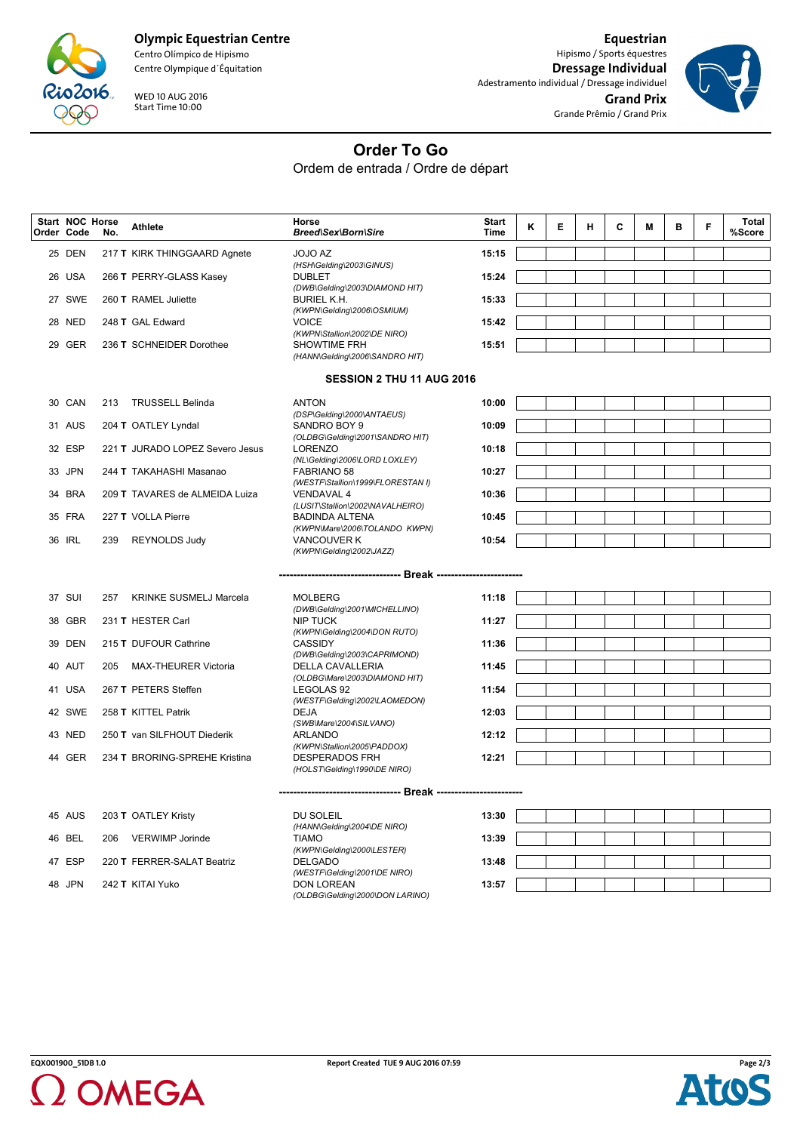

**Olympic Equestrian Centre**

Centro Olímpico de Hipismo Centre Olympique d´Équitation

WED 10 AUG 2016 Start Time 10:00

**Equestrian** Hipismo / Sports équestres **Dressage Individual** Adestramento individual / Dressage individuel **Grand Prix** Grande Prêmio / Grand Prix



**Order To Go**

Ordem de entrada / Ordre de départ

| Order Code | Start NOC Horse | No. | <b>Athlete</b>                  | Horse<br><b>Breed\Sex\Born\Sire</b>                                             | Start<br><b>Time</b> | Κ | Е | н | C | М | в | F | Total<br>%Score |
|------------|-----------------|-----|---------------------------------|---------------------------------------------------------------------------------|----------------------|---|---|---|---|---|---|---|-----------------|
|            | 25 DEN          |     | 217 T KIRK THINGGAARD Agnete    | JOJO AZ<br>(HSH\Gelding\2003\GINUS)                                             | 15:15                |   |   |   |   |   |   |   |                 |
|            | 26 USA          |     | 266 T PERRY-GLASS Kasey         | <b>DUBLET</b><br>(DWB\Gelding\2003\DIAMOND HIT)                                 | 15:24                |   |   |   |   |   |   |   |                 |
|            | 27 SWE          |     | 260 T RAMEL Juliette            | <b>BURIEL K.H.</b><br>(KWPN\Gelding\2006\OSMIUM)                                | 15:33                |   |   |   |   |   |   |   |                 |
|            | 28 NED          |     | 248 T GAL Edward                | <b>VOICE</b><br>(KWPN\Stallion\2002\DE NIRO)                                    | 15:42                |   |   |   |   |   |   |   |                 |
|            | 29 GER          |     | 236 T SCHNEIDER Dorothee        | SHOWTIME FRH<br>(HANN\Gelding\2006\SANDRO HIT)                                  | 15:51                |   |   |   |   |   |   |   |                 |
|            |                 |     |                                 | SESSION 2 THU 11 AUG 2016                                                       |                      |   |   |   |   |   |   |   |                 |
|            | 30 CAN          | 213 | <b>TRUSSELL Belinda</b>         | <b>ANTON</b>                                                                    | 10:00                |   |   |   |   |   |   |   |                 |
|            |                 |     |                                 | (DSP\Gelding\2000\ANTAEUS)                                                      |                      |   |   |   |   |   |   |   |                 |
|            | 31 AUS          |     | 204 T OATLEY Lyndal             | SANDRO BOY 9<br>(OLDBG\Gelding\2001\SANDRO HIT)                                 | 10:09                |   |   |   |   |   |   |   |                 |
|            | 32 ESP          |     | 221 T JURADO LOPEZ Severo Jesus | <b>LORENZO</b><br>(NL\Gelding\2006\LORD LOXLEY)                                 | 10:18                |   |   |   |   |   |   |   |                 |
|            | 33 JPN          |     | 244 T TAKAHASHI Masanao         | FABRIANO 58<br>(WESTF\Stallion\1999\FLORESTAN I)                                | 10:27                |   |   |   |   |   |   |   |                 |
|            | 34 BRA          |     | 209 T TAVARES de ALMEIDA Luiza  | <b>VENDAVAL 4</b><br>(LUSIT\Stallion\2002\NAVALHEIRO)                           | 10:36                |   |   |   |   |   |   |   |                 |
|            | 35 FRA          |     | 227 T VOLLA Pierre              | <b>BADINDA ALTENA</b>                                                           | 10:45                |   |   |   |   |   |   |   |                 |
|            | 36 IRL          | 239 | <b>REYNOLDS Judy</b>            | (KWPN\Mare\2006\TOLANDO KWPN)<br><b>VANCOUVER K</b><br>(KWPN\Gelding\2002\JAZZ) | 10:54                |   |   |   |   |   |   |   |                 |
|            |                 |     |                                 |                                                                                 |                      |   |   |   |   |   |   |   |                 |
|            | 37 SUI          | 257 | <b>KRINKE SUSMELJ Marcela</b>   | <b>MOLBERG</b><br>(DWB\Gelding\2001\MICHELLINO)                                 | 11:18                |   |   |   |   |   |   |   |                 |
|            | 38 GBR          |     | 231 T HESTER Carl               | <b>NIP TUCK</b><br>(KWPN\Gelding\2004\DON RUTO)                                 | 11:27                |   |   |   |   |   |   |   |                 |
|            | 39 DEN          |     | 215 T DUFOUR Cathrine           | <b>CASSIDY</b><br>(DWB\Gelding\2003\CAPRIMOND)                                  | 11:36                |   |   |   |   |   |   |   |                 |
|            | 40 AUT          | 205 | <b>MAX-THEURER Victoria</b>     | DELLA CAVALLERIA<br>(OLDBG\Mare\2003\DIAMOND HIT)                               | 11:45                |   |   |   |   |   |   |   |                 |
|            | 41 USA          |     | 267 T PETERS Steffen            | LEGOLAS 92                                                                      | 11:54                |   |   |   |   |   |   |   |                 |
|            | 42 SWE          |     | 258 T KITTEL Patrik             | (WESTF\Gelding\2002\LAOMEDON)<br><b>DEJA</b>                                    | 12:03                |   |   |   |   |   |   |   |                 |
|            | 43 NED          |     | 250 T van SILFHOUT Diederik     | (SWB\Mare\2004\SILVANO)<br>ARLANDO                                              | 12:12                |   |   |   |   |   |   |   |                 |
|            | 44 GER          |     | 234 T BRORING-SPREHE Kristina   | (KWPN\Stallion\2005\PADDOX)<br><b>DESPERADOS FRH</b>                            | 12:21                |   |   |   |   |   |   |   |                 |
|            |                 |     |                                 | (HOLST\Gelding\1990\DE NIRO)                                                    |                      |   |   |   |   |   |   |   |                 |
|            |                 |     |                                 |                                                                                 |                      |   |   |   |   |   |   |   |                 |
|            | 45 AUS          |     | 203 T OATLEY Kristy             | DU SOLEIL<br>(HANN\Gelding\2004\DE NIRO)                                        | 13:30                |   |   |   |   |   |   |   |                 |
|            | 46 BEL          | 206 | <b>VERWIMP Jorinde</b>          | <b>TIAMO</b><br>(KWPN\Gelding\2000\LESTER)                                      | 13:39                |   |   |   |   |   |   |   |                 |
|            | 47 ESP          |     | 220 T FERRER-SALAT Beatriz      | <b>DELGADO</b>                                                                  | 13:48                |   |   |   |   |   |   |   |                 |
|            | 48 JPN          |     | 242 T KITAI Yuko                | (WESTF\Gelding\2001\DE NIRO)<br><b>DON LOREAN</b>                               | 13:57                |   |   |   |   |   |   |   |                 |
|            |                 |     |                                 | (OLDBG\Gelding\2000\DON LARINO)                                                 |                      |   |   |   |   |   |   |   |                 |